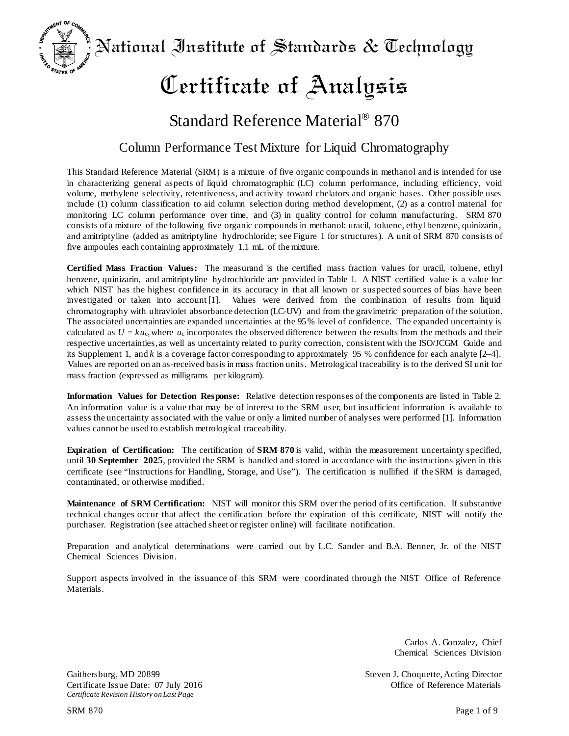National Institute of Standards & Technology

# Certificate of Analysis

## Standard Reference Material® 870

### Column Performance Test Mixture for Liquid Chromatography

This Standard Reference Material (SRM) is a mixture of five organic compounds in methanol and is intended for use in characterizing general aspects of liquid chromatographic (LC) column performance, including efficiency, void volume, methylene selectivity, retentiveness, and activity toward chelators and organic bases. Other possible uses include (1) column classification to aid column selection during method development, (2) as a control material for monitoring LC column performance over time, and (3) in quality control for column manufacturing. SRM 870 consists of a mixture of the following five organic compounds in methanol: uracil, toluene, ethyl benzene, quinizarin, and amitriptyline (added as amitriptyline hydrochloride; see Figure 1 for structures). A unit of SRM 870 consists of five ampoules each containing approximately 1.1 mL of the mixture.

**Certified Mass Fraction Values:** The measurand is the certified mass fraction values for uracil, toluene, ethyl benzene, quinizarin, and amitriptyline hydrochloride are provided in Table 1. A NIST certified value is a value for which NIST has the highest confidence in its accuracy in that all known or suspected sources of bias have been investigated or taken into account [1]. Values were derived from the combination of results from liquid chromatography with ultraviolet absorbance detection (LC-UV) and from the gravimetric preparation of the solution. The associated uncertainties are expanded uncertainties at the 95% level of confidence. The expanded uncertainty is calculated as  $U = ku_c$ , where  $u_c$  incorporates the observed difference between the results from the methods and their respective uncertainties, as well as uncertainty related to purity correction, consistent with the ISO/JCGM Guide and its Supplement 1, and *k* is a coverage factor corresponding to approximately 95 % confidence for each analyte [2–4]. Values are reported on an as-received basis in mass fraction units. Metrological traceability is to the derived SI unit for mass fraction (expressed as milligrams per kilogram).

**Information Values for Detection Response:** Relative detection responses of the components are listed in Table 2. An information value is a value that may be of interest to the SRM user, but insufficient information is available to assess the uncertainty associated with the value or only a limited number of analyses were performed [1]. Information values cannot be used to establish metrological traceability.

**Expiration of Certification:** The certification of **SRM 870** is valid, within the measurement uncertainty specified, until **30 September 2025**, provided the SRM is handled and stored in accordance with the instructions given in this certificate (see "Instructions for Handling, Storage, and Use"). The certification is nullified if the SRM is damaged, contaminated, or otherwise modified.

**Maintenance of SRM Certification:** NIST will monitor this SRM over the period of its certification. If substantive technical changes occur that affect the certification before the expiration of this certificate, NIST will notify the purchaser. Registration (see attached sheet or register online) will facilitate notification.

Preparation and analytical determinations were carried out by L.C. Sander and B.A. Benner, Jr. of the NIST Chemical Sciences Division.

Support aspects involved in the issuance of this SRM were coordinated through the NIST Office of Reference Materials.

> Carlos A. Gonzalez, Chief Chemical Sciences Division

Gaithersburg, MD 20899<br>
Gaithersburg, MD 20899<br>
Certificate Issue Date: 07 July 2016<br>
Steven J. Choquette, Acting Director<br>
Office of Reference Materials

Certificate Issue Date: 07 July 2016 *Certificate Revision History onLast Page*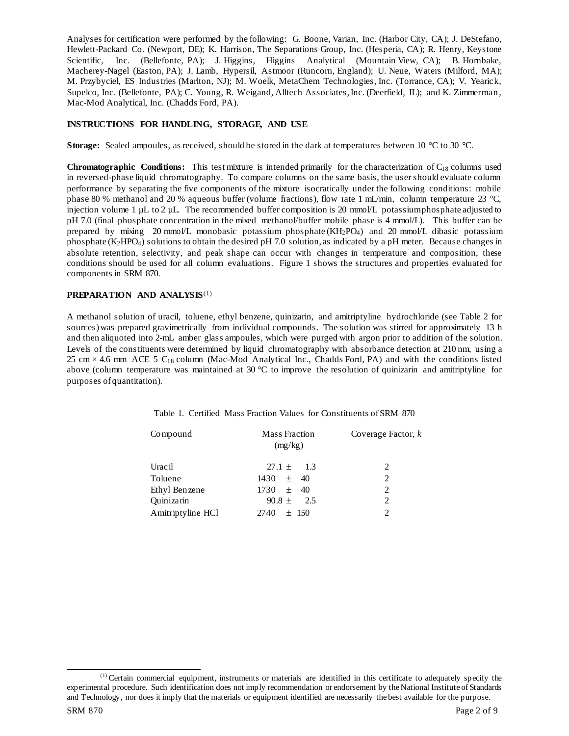Analyses for certification were performed by the following: G. Boone, Varian, Inc. (Harbor City, CA); J. DeStefano, Hewlett-Packard Co. (Newport, DE); K. Harrison, The Separations Group, Inc. (Hesperia, CA); R. Henry, Keystone Scientific, Inc. (Bellefonte, PA); J. Higgins, Higgins Analytical (Mountain View, CA); B. Hornbake, Macherey-Nagel (Easton, PA); J. Lamb, Hypersil, Astmoor (Runcorn, England); U. Neue, Waters (Milford, MA); M. Przybyciel, ES Industries (Marlton, NJ); M. Woelk, MetaChem Technologies, Inc. (Torrance, CA); V. Yearick, Supelco, Inc. (Bellefonte, PA); C. Young, R. Weigand, Alltech Associates, Inc. (Deerfield, IL); and K. Zimmerman, Mac-Mod Analytical, Inc. (Chadds Ford, PA).

#### **INSTRUCTIONS FOR HANDLING, STORAGE, AND USE**

**Storage:** Sealed ampoules, as received, should be stored in the dark at temperatures between 10 °C to 30 °C.

**Chromatographic Conditions:** This test mixture is intended primarily for the characterization of  $C_{18}$  columns used in reversed-phase liquid chromatography. To compare columns on the same basis, the user should evaluate column performance by separating the five components of the mixture isocratically under the following conditions: mobile phase 80 % methanol and 20 % aqueous buffer (volume fractions), flow rate 1 mL/min, column temperature 23 °C, injection volume 1 µL to 2 µL. The recommended buffer composition is 20 mmol/L potassium phosphate adjusted to pH 7.0 (final phosphate concentration in the mixed methanol/buffer mobile phase is 4 mmol/L). This buffer can be prepared by mixing 20 mmol/L monobasic potassium phosphate (KH2PO4) and 20 mmol/L dibasic potassium phosphate (K2HPO4) solutions to obtain the desired pH 7.0 solution, as indicated by a pH meter. Because changes in absolute retention, selectivity, and peak shape can occur with changes in temperature and composition, these conditions should be used for all column evaluations. Figure 1 shows the structures and properties evaluated for components in SRM 870.

#### **PREPARATION AND ANALYSIS**([1](#page-1-0))

A methanol solution of uracil, toluene, ethyl benzene, quinizarin, and amitriptyline hydrochloride (see Table 2 for sources) was prepared gravimetrically from individual compounds. The solution was stirred for approximately 13 h and then aliquoted into 2-mL amber glass ampoules, which were purged with argon prior to addition of the solution. Levels of the constituents were determined by liquid chromatography with absorbance detection at 210 nm, using a 25 cm  $\times$  4.6 mm ACE 5 C<sub>18</sub> column (Mac-Mod Analytical Inc., Chadds Ford, PA) and with the conditions listed above (column temperature was maintained at 30  $^{\circ}$ C to improve the resolution of quinizarin and amitriptyline for purposes of quantitation).

| Compound          | <b>Mass Fraction</b><br>(mg/kg) | Coverage Factor, k |  |  |
|-------------------|---------------------------------|--------------------|--|--|
| Urac il           | $27.1 \pm 1.3$                  |                    |  |  |
| Toluene           | $1430 \pm 40$                   | 2                  |  |  |
| Ethyl Benzene     | $1730 \pm 40$                   |                    |  |  |
| Quinizarin        | $90.8 \pm 2.5$                  | 2                  |  |  |
| Amitriptyline HCl | 2740<br>$\pm$ 150               |                    |  |  |

|  |  |  |  | Table 1. Certified Mass Fraction Values for Constituents of SRM 870 |  |  |
|--|--|--|--|---------------------------------------------------------------------|--|--|
|--|--|--|--|---------------------------------------------------------------------|--|--|

<span id="page-1-0"></span> $<sup>(1)</sup>$  Certain commercial equipment, instruments or materials are identified in this certificate to adequately specify the</sup> experimental procedure. Such identification does not imply recommendation or endorsement by the National Institute of Standards and Technology, nor does it imply that the materials or equipment identified are necessarily the best available for the purpose.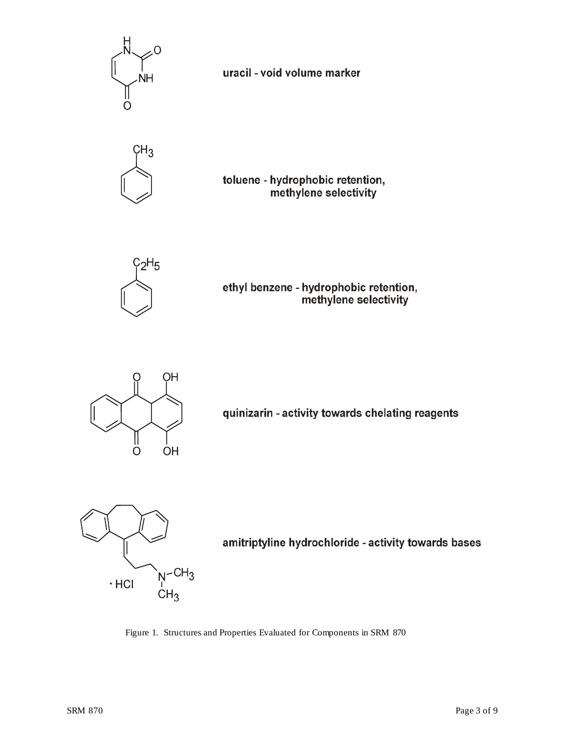

uracil - void volume marker



toluene - hydrophobic retention, methylene selectivity



ethyl benzene - hydrophobic retention, methylene selectivity



quinizarin - activity towards chelating reagents



amitriptyline hydrochloride - activity towards bases

Figure 1. Structures and Properties Evaluated for Components in SRM 870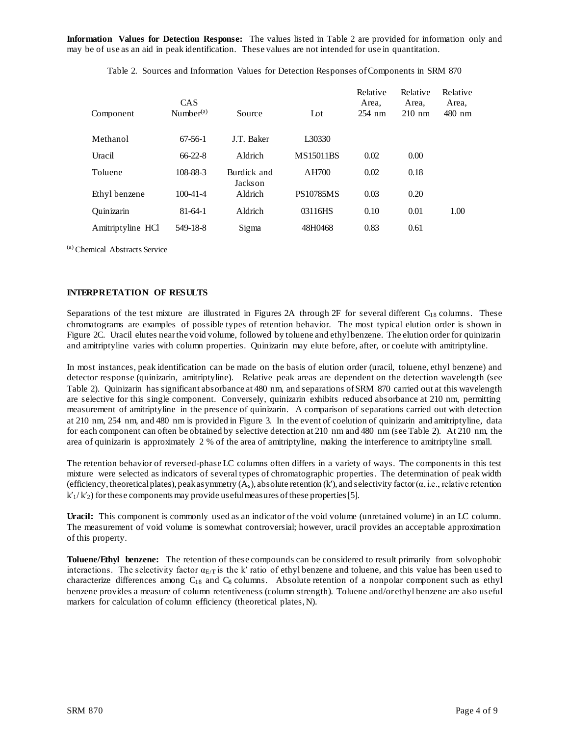**Information Values for Detection Response:** The values listed in Table 2 are provided for information only and may be of use as an aid in peak identification. These values are not intended for use in quantitation.

| Component         | <b>CAS</b><br>Number $(a)$ | Source                 | $_{\rm Lot}$     | Relative<br>Area,<br>$254$ nm | Relative<br>Area,<br>$210 \text{ nm}$ | Relative<br>Area,<br>$480$ nm |
|-------------------|----------------------------|------------------------|------------------|-------------------------------|---------------------------------------|-------------------------------|
| Methanol          | $67-56-1$                  | <b>J.T. Baker</b>      | L30330           |                               |                                       |                               |
| Uracil            | $66 - 22 - 8$              | Aldrich                | <b>MS15011BS</b> | 0.02                          | 0.00                                  |                               |
| Toluene           | 108-88-3                   | Burdick and<br>Jackson | AH700            | 0.02                          | 0.18                                  |                               |
| Ethyl benzene     | $100 - 41 - 4$             | Aldrich                | <b>PS10785MS</b> | 0.03                          | 0.20                                  |                               |
| Quinizarin        | $81 - 64 - 1$              | Aldrich                | 03116HS          | 0.10                          | 0.01                                  | 1.00                          |
| Amitriptyline HCl | 549-18-8                   | Sigma                  | 48H0468          | 0.83                          | 0.61                                  |                               |

Table 2. Sources and Information Values for Detection Responses of Components in SRM 870

(a) Chemical Abstracts Service

#### **INTERPRETATION OF RESULTS**

Separations of the test mixture are illustrated in Figures 2A through 2F for several different  $C_{18}$  columns. These chromatograms are examples of possible types of retention behavior. The most typical elution order is shown in Figure 2C. Uracil elutes near the void volume, followed by toluene and ethyl benzene. The elution order for quinizarin and amitriptyline varies with column properties. Quinizarin may elute before, after, or coelute with amitriptyline.

In most instances, peak identification can be made on the basis of elution order (uracil, toluene, ethyl benzene) and detector response (quinizarin, amitriptyline). Relative peak areas are dependent on the detection wavelength (see Table 2). Quinizarin has significant absorbance at 480 nm, and separations of SRM 870 carried out at this wavelength are selective for this single component. Conversely, quinizarin exhibits reduced absorbance at 210 nm, permitting measurement of amitriptyline in the presence of quinizarin. A comparison of separations carried out with detection at 210 nm, 254 nm, and 480 nm is provided in Figure 3. In the event of coelution of quinizarin and amitriptyline, data for each component can often be obtained by selective detection at 210 nm and 480 nm (see Table 2). At 210 nm, the area of quinizarin is approximately 2 % of the area of amitriptyline, making the interference to amitriptyline small.

The retention behavior of reversed-phase LC columns often differs in a variety of ways. The components in this test mixture were selected as indicators of several types of chromatographic properties. The determination of peak width (efficiency, theoretical plates), peak asymmetry  $(A_s)$ , absolute retention (k'), and selectivity factor ( $\alpha$ , i.e., relative retention  $k_1/k_2$ ) for these components may provide useful measures of these properties [5].

**Uracil:** This component is commonly used as an indicator of the void volume (unretained volume) in an LC column. The measurement of void volume is somewhat controversial; however, uracil provides an acceptable approximation of this property.

**Toluene/Ethyl benzene:** The retention of these compounds can be considered to result primarily from solvophobic interactions. The selectivity factor  $\alpha_{E/T}$  is the k' ratio of ethyl benzene and toluene, and this value has been used to characterize differences among  $C_{18}$  and  $C_8$  columns. Absolute retention of a nonpolar component such as ethyl benzene provides a measure of column retentiveness (column strength). Toluene and/or ethyl benzene are also useful markers for calculation of column efficiency (theoretical plates,N).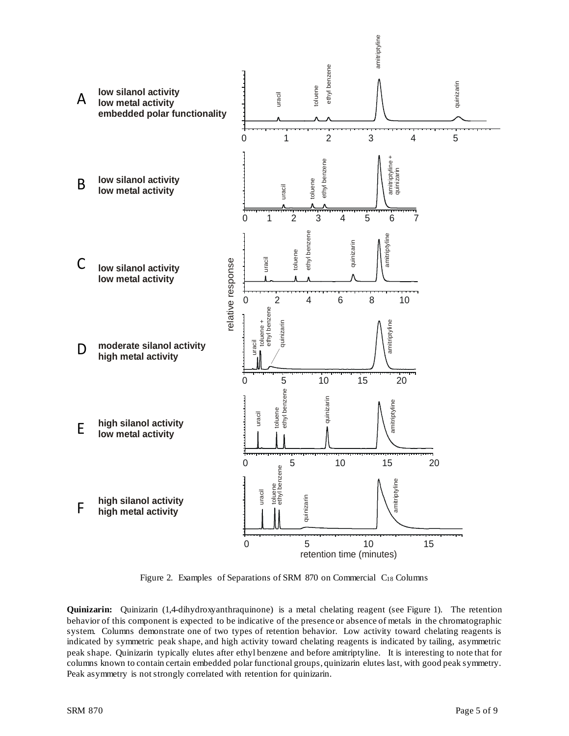

Figure 2. Examples of Separations of SRM 870 on Commercial C<sub>18</sub> Columns

**Quinizarin:** Quinizarin (1,4-dihydroxyanthraquinone) is a metal chelating reagent (see Figure 1). The retention behavior of this component is expected to be indicative of the presence or absence of metals in the chromatographic system. Columns demonstrate one of two types of retention behavior. Low activity toward chelating reagents is indicated by symmetric peak shape, and high activity toward chelating reagents is indicated by tailing, asymmetric peak shape. Quinizarin typically elutes after ethyl benzene and before amitriptyline. It is interesting to note that for columns known to contain certain embedded polar functional groups, quinizarin elutes last, with good peak symmetry. Peak asymmetry is not strongly correlated with retention for quinizarin.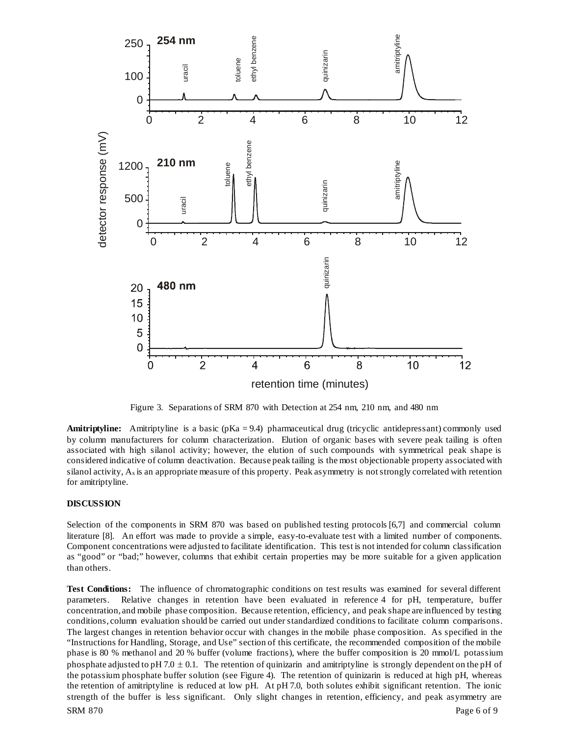

Figure 3. Separations of SRM 870 with Detection at 254 nm, 210 nm, and 480 nm

Amitriptyline: Amitriptyline is a basic (pKa = 9.4) pharmaceutical drug (tricyclic antidepressant) commonly used by column manufacturers for column characterization. Elution of organic bases with severe peak tailing is often associated with high silanol activity; however, the elution of such compounds with symmetrical peak shape is considered indicative of column deactivation. Because peak tailing is the most objectionable property associated with silanol activity, As is an appropriate measure of this property. Peak asymmetry is not strongly correlated with retention for amitriptyline.

#### **DISCUSSION**

Selection of the components in SRM 870 was based on published testing protocols [6,7] and commercial column literature [8]. An effort was made to provide a simple, easy-to-evaluate test with a limited number of components. Component concentrations were adjusted to facilitate identification. This test is not intended for column classification as "good" or "bad;" however, columns that exhibit certain properties may be more suitable for a given application than others.

SRM 870 Page 6 of 9 **Test Conditions:** The influence of chromatographic conditions on test results was examined for several different parameters. Relative changes in retention have been evaluated in reference 4 for pH, temperature, buffer concentration, and mobile phase composition. Because retention, efficiency, and peak shape are influenced by testing conditions, column evaluation should be carried out under standardized conditions to facilitate column comparisons. The largest changes in retention behavior occur with changes in the mobile phase composition. As specified in the "Instructions for Handling, Storage, and Use" section of this certificate, the recommended composition of the mobile phase is 80 % methanol and 20 % buffer (volume fractions), where the buffer composition is 20 mmol/L potassium phosphate adjusted to pH 7.0  $\pm$  0.1. The retention of quinizarin and amitriptyline is strongly dependent on the pH of the potassium phosphate buffer solution (see Figure 4). The retention of quinizarin is reduced at high pH, whereas the retention of amitriptyline is reduced at low pH. At pH 7.0, both solutes exhibit significant retention. The ionic strength of the buffer is less significant. Only slight changes in retention, efficiency, and peak asymmetry are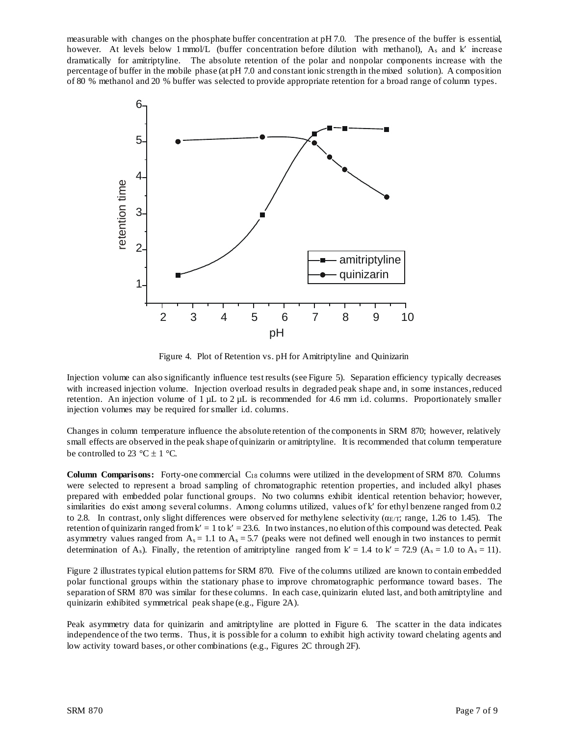measurable with changes on the phosphate buffer concentration at pH 7.0. The presence of the buffer is essential, however. At levels below 1 mmol/L (buffer concentration before dilution with methanol), A<sub>s</sub> and k' increase dramatically for amitriptyline. The absolute retention of the polar and nonpolar components increase with the percentage of buffer in the mobile phase (at pH 7.0 and constant ionic strength in the mixed solution). A composition of 80 % methanol and 20 % buffer was selected to provide appropriate retention for a broad range of column types.



Figure 4. Plot of Retention vs. pH for Amitriptyline and Quinizarin

Injection volume can also significantly influence test results (see Figure 5). Separation efficiency typically decreases with increased injection volume. Injection overload results in degraded peak shape and, in some instances, reduced retention. An injection volume of  $1 \mu L$  to  $2 \mu L$  is recommended for 4.6 mm i.d. columns. Proportionately smaller injection volumes may be required for smaller i.d. columns.

Changes in column temperature influence the absolute retention of the components in SRM 870; however, relatively small effects are observed in the peak shape of quinizarin or amitriptyline. It is recommended that column temperature be controlled to 23 °C  $\pm$  1 °C.

**Column Comparisons:** Forty-one commercial C18 columns were utilized in the development of SRM 870. Columns were selected to represent a broad sampling of chromatographic retention properties, and included alkyl phases prepared with embedded polar functional groups. No two columns exhibit identical retention behavior; however, similarities do exist among several columns. Among columns utilized, values of k′ for ethyl benzene ranged from 0.2 to 2.8. In contrast, only slight differences were observed for methylene selectivity ( $\alpha_{E/T}$ ; range, 1.26 to 1.45). The retention of quinizarin ranged from  $k' = 1$  to  $k' = 23.6$ . In two instances, no elution of this compound was detected. Peak asymmetry values ranged from  $A_s = 1.1$  to  $A_s = 5.7$  (peaks were not defined well enough in two instances to permit determination of A<sub>s</sub>). Finally, the retention of amitriptyline ranged from  $k' = 1.4$  to  $k' = 72.9$  (A<sub>s</sub> = 1.0 to A<sub>s</sub> = 11).

Figure 2 illustrates typical elution patterns for SRM 870. Five of the columns utilized are known to contain embedded polar functional groups within the stationary phase to improve chromatographic performance toward bases. The separation of SRM 870 was similar for these columns. In each case, quinizarin eluted last, and both amitriptyline and quinizarin exhibited symmetrical peak shape (e.g., Figure 2A).

Peak asymmetry data for quinizarin and amitriptyline are plotted in Figure 6. The scatter in the data indicates independence of the two terms. Thus, it is possible for a column to exhibit high activity toward chelating agents and low activity toward bases, or other combinations (e.g., Figures 2C through 2F).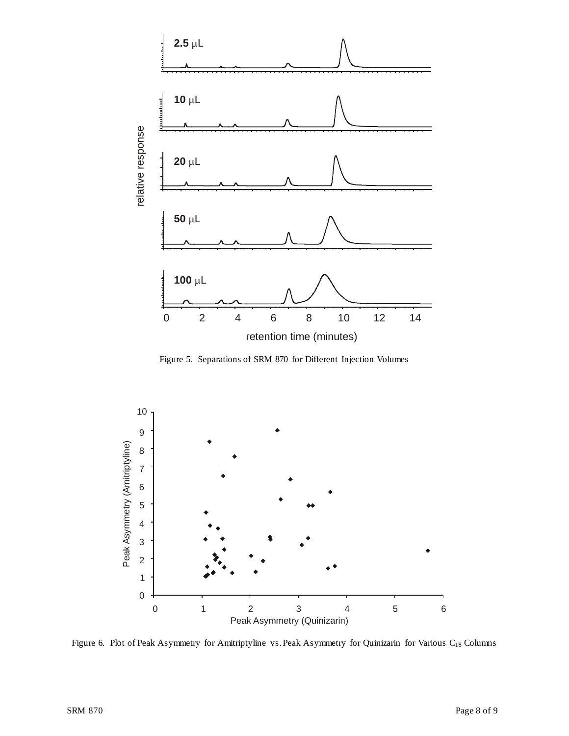

Figure 5. Separations of SRM 870 for Different Injection Volumes



Figure 6. Plot of Peak Asymmetry for Amitriptyline vs. Peak Asymmetry for Quinizarin for Various C18 Columns